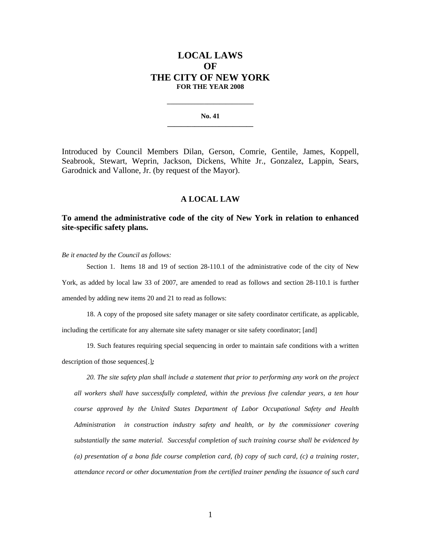## **LOCAL LAWS OF THE CITY OF NEW YORK FOR THE YEAR 2008**

**No. 41 \_\_\_\_\_\_\_\_\_\_\_\_\_\_\_\_\_\_\_\_\_\_\_\_\_** 

**\_\_\_\_\_\_\_\_\_\_\_\_\_\_\_\_\_\_\_\_\_\_\_\_\_\_\_\_** 

Introduced by Council Members Dilan, Gerson, Comrie, Gentile, James, Koppell, Seabrook, Stewart, Weprin, Jackson, Dickens, White Jr., Gonzalez, Lappin, Sears, Garodnick and Vallone, Jr. (by request of the Mayor).

## **A LOCAL LAW**

## **To amend the administrative code of the city of New York in relation to enhanced site-specific safety plans.**

*Be it enacted by the Council as follows:* 

 Section 1. Items 18 and 19 of section 28-110.1 of the administrative code of the city of New York, as added by local law 33 of 2007, are amended to read as follows and section 28-110.1 is further amended by adding new items 20 and 21 to read as follows:

18. A copy of the proposed site safety manager or site safety coordinator certificate, as applicable, including the certificate for any alternate site safety manager or site safety coordinator; [and]

19. Such features requiring special sequencing in order to maintain safe conditions with a written description of those sequences[.]*;*

 *20. The site safety plan shall include a statement that prior to performing any work on the project all workers shall have successfully completed, within the previous five calendar years, a ten hour course approved by the United States Department of Labor Occupational Safety and Health Administration in construction industry safety and health, or by the commissioner covering substantially the same material. Successful completion of such training course shall be evidenced by (a) presentation of a bona fide course completion card, (b) copy of such card, (c) a training roster, attendance record or other documentation from the certified trainer pending the issuance of such card*